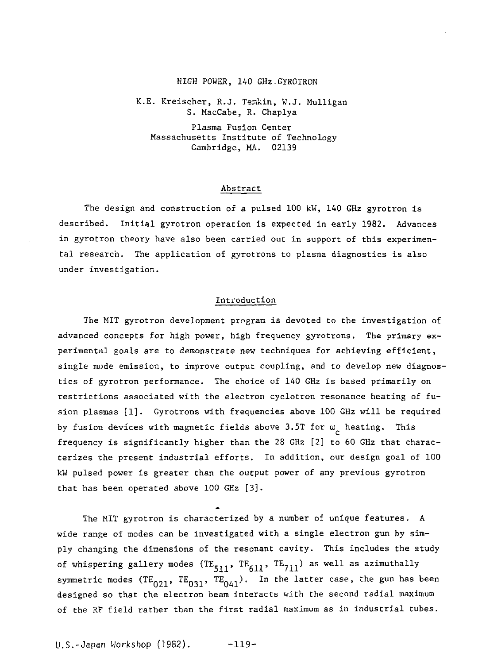#### HIGH POWER, 140 GHz.GYROTRON

K.E. Kreischer, R.J. Temkin, W.J. Mulligan S. MacCabe, R. Chaplya

Plasma Fusion Center Massachusetts Institute of Technology Cambridge, MA. 02139

#### Abstract

The design and construction of a pulsed 100 kW, 140 GHz gyrotron is described. Initial gyrotron operation is expected in early 1982. Advances in gyrotron theory have also been carried out in support of this experimental research. The application of gyrotrons to plasma diagnostics is also under investigation.

## Introduction

The MIT gyrotron development program is devoted to the investigation of advanced concepts for high power, high frequency gyrotrons. The primary experimental goals are to demonstrate new techniques for achieving efficient, single mode emission, to improve output coupling, and to develop new diagnostics of gyrotron performance. The choice of 140 GHz is based primarily on restrictions associated with the electron cyclotron resonance heating of fusion plasmas [1]. Gyrotrons with frequencies above 100 GHz will be required by fusion devices with magnetic fields above 3.5T for  $\omega_{\rho}$  heating. This frequency is significantly higher than the 28 GHz [2] to 60 GHz that characterizes the present industrial efforts. In addition, our design goal of 100 kW pulsed power is greater than the output power of any previous gyrotron that has been operated above 100 GHz [3].

The MIT gyrotron is characterized by a number of unique features. A wide range of modes can be investigated with a single electron gun by simply changing the dimensions of the resonant cavity. This includes the study of whispering gallery modes  $(TE_{c,1}, TE_{c,1}, TE_{7,1})$  as well as azimuthall symmetric modes  $(TE_{021}, TE_{031}, TE_{041}).$  In the latter case, the gun has been designed so that the electron beam interacts with the second radial maximum of the RF field rather than the first radial maximum as in industrial tubes.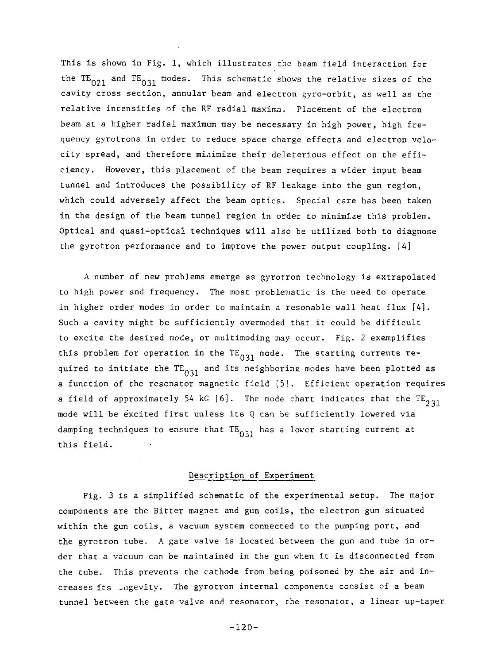This is shown in Fig. 1, which illustrates the beam field interaction for the TE<sub>021</sub> and TE<sub>031</sub> modes. This schematic shows the relative sizes of the cavity cross section, annular beam and electron gyro-orbit, as well as the relative intensities of the RF radial maxima. Placement of the electron, beam at a higher radial maximum may be necessary in high power, high frequency gyrotrons in order to reduce space charge effects and electron velocity spread, and therefore minimize their deleterious effect on the efficiency. However, this placement of the beam requires a wider input beam tunnel and introduces the possibility of RF leakage into the gun region, which could adversely affect the beam optics. Special care has been taken in the design of the beam tunnel region in order to minimize this problem. Optical and quasi-optical techniques will also be utilized both to diagnose the gyrotron performance and to improve the power output coupling. [4]

A number of new problems emerge as gyrotron technology is extrapolated to high power and frequency. The most problematic is the need to operate in higher order modes in order to maintain a resonable wall heat flux [4]. Such a cavity might be sufficiently overmoded that it could be difficult to excite the desired mode, or multimoding may occur. Fig. 2 exemplifies this problem for operation in the  $TE_{031}$  mode. The starting currents required to initiate the  $TE_{031}$  and its neighboring modes have been plotted as a function of the resonator magnetic field [5]. Efficient operation requires a field of approximately 54 kG [6]. The mode chart indicates that the  $TE_{2,31}$ mode will be excited first unless its Q can be sufficiently lowered via mode will be excited first unless its  $\mathbf{C}$  can be sufficiently lowered via be sufficiently lowered via be sufficiently lowered via be sufficient of  $\mathbf{C}$  $\frac{d}{dt}$  that TE has a lower starting current at  $\frac{d}{dt}$ 

### Description of Experiment

Fig. 3 is a simplified schematic of the experimental setup. The major components are the Bitter magnet and gun coils, the electron gun situated within the gun coils, a vacuum system connected to the pumping port, and the gyrotron tube. A gate valve is located between the gun and tube in order that a vacuum can be maintained in the gun when it is disconnected from the tube. This prevents the cathode from being poisoned by the air and increases its jiigevity. The gyrotron internal components consist of a beam tunnel between the gate valve and resonator, the resonator, a linear up-taper

 $-120-$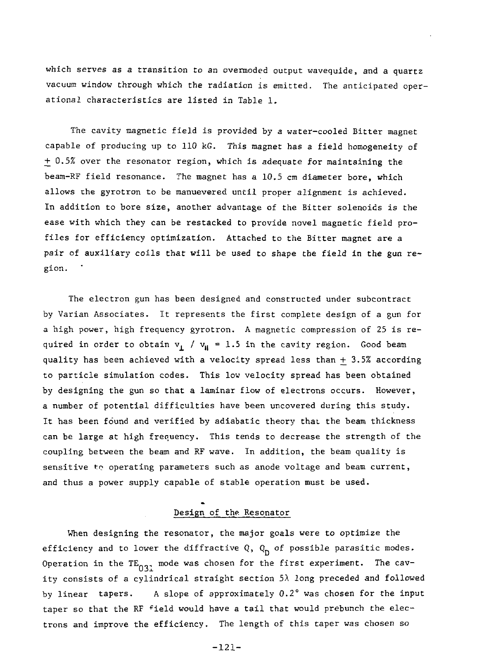which serves as a transition to an overmoded output wavequide, and a quartz vacuum window through which the radiation is emitted. The anticipated operational characteristics are listed in Table 1.

The cavity magnetic field is provided by a water-cooled Bitter magnet capable of producing up to 110 kG. This magnet has a field homogeneity of + 0.5% over the resonator region, which is adequate for maintaining the beam-RF field resonance. The magnet has a 10.5 cm diameter bore, which allows the gyrotron to be manuevered until proper alignment is achieved. In addition to bore size, another advantage of the Bitter solenoids is the ease with which they can be restacked to provide novel magnetic field profiles for efficiency optimization. Attached to the Bitter magnet are a pair of auxiliary coils that will be used to shape the field in the gun region.

The electron gun has been designed and constructed under subcontract by Varian Associates. It represents the first complete design of a gun for a high power, high frequency gyrotron. A magnetic compression of 25 is required in order to obtain  $v_i$  /  $v_{ii} = 1.5$  in the cavity region. Good beam quality has been achieved with a velocity spread less than + 3.5% according to particle simulation codes. This low velocity spread has been obtained by designing the gun so that a laminar flow of electrons occurs. However, a number of potential difficulties have been uncovered during this study. It has been found and verified by adiabatic theory that the beam thickness can be large at high frequency. This tends to decrease the strength of the coupling between the beam and RF wave. In addition, the beam quality is sensitive to operating parameters such as anode voltage and beam current, and thus a power supply capable of stable operation must be used.

## Design of the Resonator

When designing the resonator, the major goals were to optimize the efficiency and to lower the diffractive Q,  $Q_n$  of possible parasitic modes. Operation in the TE<sub>03</sub>, mode was chosen for the first experiment. The cavity consists of a cylindrical straight section  $5\lambda$  long preceded and followed by linear tapers. A slope of approximately 0.2° was chosen for the input taper so that the RF <sup>f</sup>ield would have a tail that would prebunch the electrons and improve the efficiency. The length of this taper was chosen so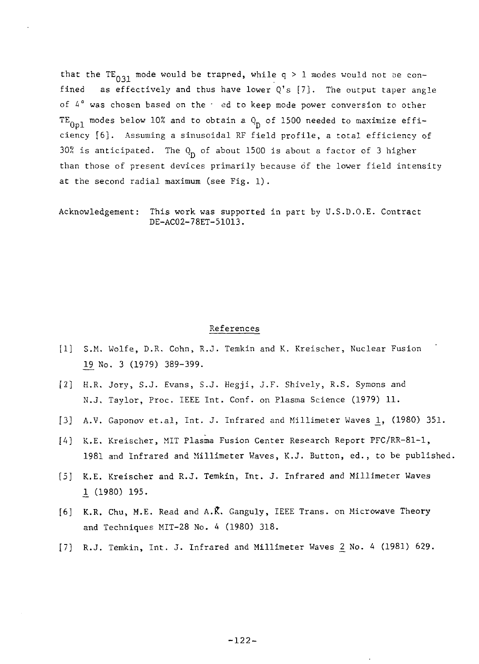that the TE<sub>031</sub> mode would be trapped, while  $q > 1$  modes would not be confined as effectively and thus have lower  $Q's$  [7]. The output taper angle of  $4^\circ$  was chosen based on the  $\cdot$  ed to keep mode power conversion to other TE<sub>0n1</sub> modes below 10% and to obtain a  $Q_n$  of 1500 needed to maximize efficiency [6]. Assuming a sinusoidal RF field profile, a total efficiency of 30% is anticipated. The  $Q_p$  of about 1500 is about a factor of 3 higher than those of present devices primarily because of the lower field intensity at the second radial maximum (see Fig. 1).

Acknowledgement: This work was supported in part by U.S.D.O.E. Contract DE-AC02-78ET-51013.

### References

- [1] S.M. Wolfe, D.R. Cohn, R.J. Temkin and K. Kreischer, Nuclear Fusion 19 No. 3 (1979) 389-399.
- [2] H.R. Jory, S.J. Evans, S.J. Hegji, J.F. Shively, R.S. Symons and N.J. Taylor, Proc. IEEE Int. Conf. on Plasma Science (1979) 11.
- [3] A.V. Gaponov et.al, Int. J. Infrared and Millimeter Waves 1, (1980) 351.
- [A] K.E. Kreischer, MIT Plasma Fusion Center Research Report PFC/RR-81-1, 1981 and Infrared and Millimeter Waves, K.J. Button, ed., to be published.
- [5] K.E. Kreischer and R.J. Temkin, Int. J. Infrared and Millimeter Waves I (1980) 195.
- [6] K.R. Chu, M.E. Read and A.K\ Ganguly, IEEE Trans, on Microwave Theory and Techniques MIT-28 No. 4 (1980) 318.
- [7] R.J. Temkin, Int. J. Infrared and Millimeter Waves 2\_ No. 4 (1981) 629.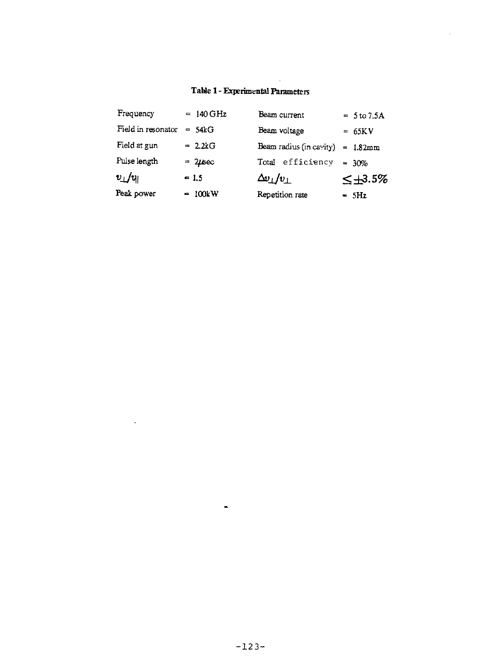# Table I - Experimental Parameters

 $\ddot{\phantom{0}}$ 

| Frequency                 | $= 140$ GHz  | Beam current             | $= 5 to 7.5A$    |
|---------------------------|--------------|--------------------------|------------------|
| Field in resonator        | $=$ 54 $k$ G | Beam voltage             | $= 65KV$         |
| Field at gun              | $= 22kG$     | Beam radius (in cavity)  | $= 1.82mm$       |
| Pulse length              | $= 2$ usec   | efficiency<br>Total      | $= 30%$          |
| $v_{\perp}/v_{\parallel}$ | $= 1.5$      | $\Delta v_\perp/v_\perp$ | $\leq \pm 3.5\%$ |
| Peak power                | $-100kW$     | Repetition rate          | $=$ 5Hz          |

 $\blacksquare$ 

 $\overline{\phantom{a}}$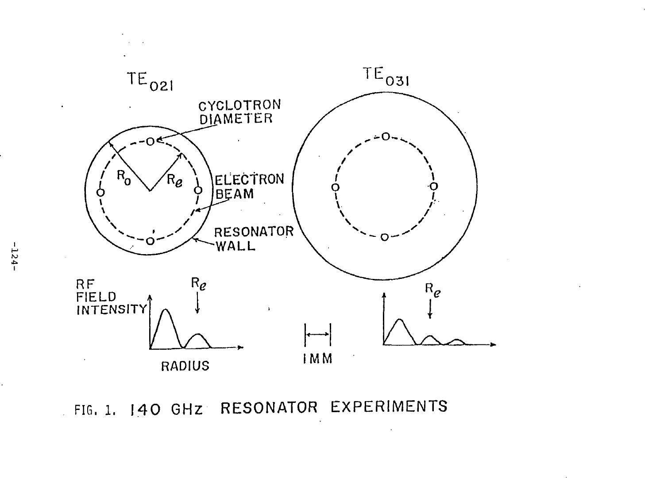

ä,

FIG. 1. 140 GHZ RESONATOR EXPERIMENTS

**I M I**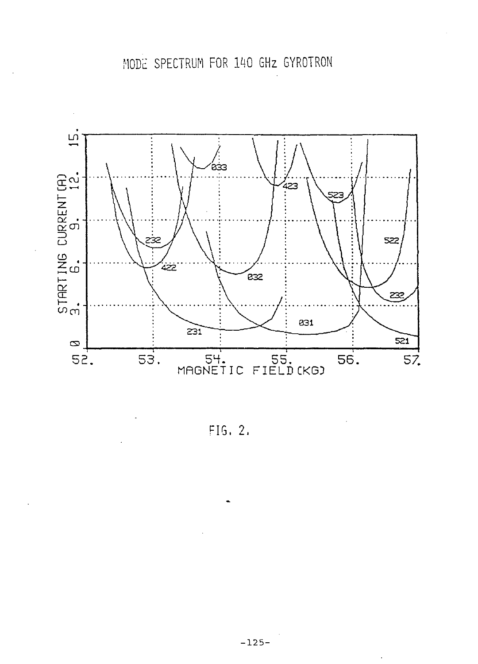

FIG, 2.